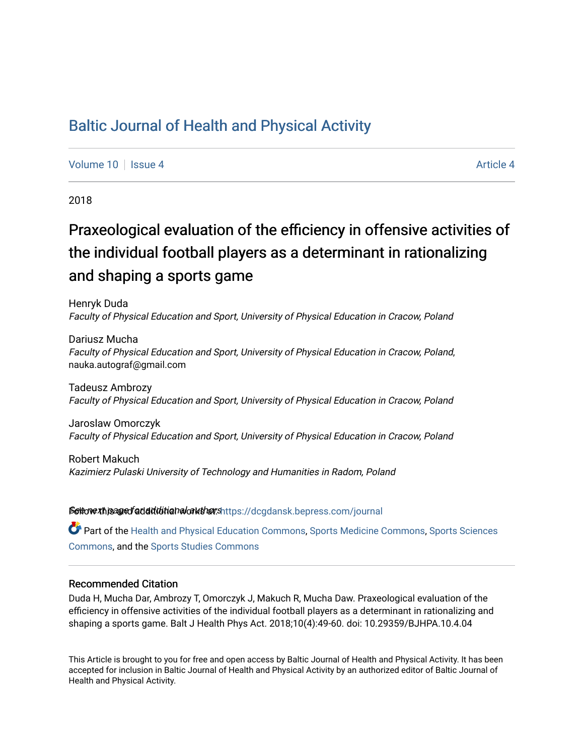# [Baltic Journal of Health and Physical Activity](https://dcgdansk.bepress.com/journal)

[Volume 10](https://dcgdansk.bepress.com/journal/vol10) | [Issue 4](https://dcgdansk.bepress.com/journal/vol10/iss4) [Article 4](https://dcgdansk.bepress.com/journal/vol10/iss4/4) Article 4 Article 4 Article 4 Article 4 Article 4 Article 4

2018

# Praxeological evaluation of the efficiency in offensive activities of the individual football players as a determinant in rationalizing and shaping a sports game

Henryk Duda Faculty of Physical Education and Sport, University of Physical Education in Cracow, Poland

Dariusz Mucha Faculty of Physical Education and Sport, University of Physical Education in Cracow, Poland, nauka.autograf@gmail.com

Tadeusz Ambrozy Faculty of Physical Education and Sport, University of Physical Education in Cracow, Poland

Jaroslaw Omorczyk Faculty of Physical Education and Sport, University of Physical Education in Cracow, Poland

Robert Makuch Kazimierz Pulaski University of Technology and Humanities in Radom, Poland

Settovexthis age of addiditional authors[https://dcgdansk.bepress.com/journal](https://dcgdansk.bepress.com/journal?utm_source=dcgdansk.bepress.com%2Fjournal%2Fvol10%2Fiss4%2F4&utm_medium=PDF&utm_campaign=PDFCoverPages)

Part of the [Health and Physical Education Commons](http://network.bepress.com/hgg/discipline/1327?utm_source=dcgdansk.bepress.com%2Fjournal%2Fvol10%2Fiss4%2F4&utm_medium=PDF&utm_campaign=PDFCoverPages), [Sports Medicine Commons,](http://network.bepress.com/hgg/discipline/1331?utm_source=dcgdansk.bepress.com%2Fjournal%2Fvol10%2Fiss4%2F4&utm_medium=PDF&utm_campaign=PDFCoverPages) [Sports Sciences](http://network.bepress.com/hgg/discipline/759?utm_source=dcgdansk.bepress.com%2Fjournal%2Fvol10%2Fiss4%2F4&utm_medium=PDF&utm_campaign=PDFCoverPages) [Commons](http://network.bepress.com/hgg/discipline/759?utm_source=dcgdansk.bepress.com%2Fjournal%2Fvol10%2Fiss4%2F4&utm_medium=PDF&utm_campaign=PDFCoverPages), and the [Sports Studies Commons](http://network.bepress.com/hgg/discipline/1198?utm_source=dcgdansk.bepress.com%2Fjournal%2Fvol10%2Fiss4%2F4&utm_medium=PDF&utm_campaign=PDFCoverPages) 

#### Recommended Citation

Duda H, Mucha Dar, Ambrozy T, Omorczyk J, Makuch R, Mucha Daw. Praxeological evaluation of the efficiency in offensive activities of the individual football players as a determinant in rationalizing and shaping a sports game. Balt J Health Phys Act. 2018;10(4):49-60. doi: 10.29359/BJHPA.10.4.04

This Article is brought to you for free and open access by Baltic Journal of Health and Physical Activity. It has been accepted for inclusion in Baltic Journal of Health and Physical Activity by an authorized editor of Baltic Journal of Health and Physical Activity.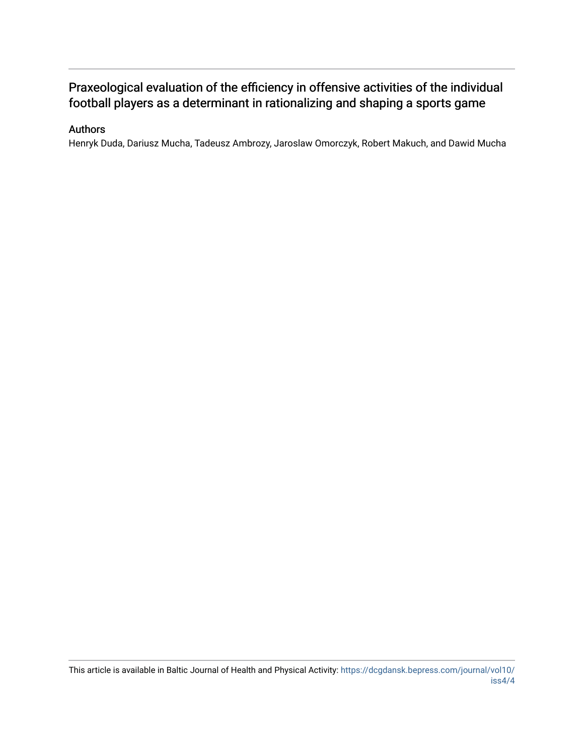# Praxeological evaluation of the efficiency in offensive activities of the individual football players as a determinant in rationalizing and shaping a sports game

### Authors

Henryk Duda, Dariusz Mucha, Tadeusz Ambrozy, Jaroslaw Omorczyk, Robert Makuch, and Dawid Mucha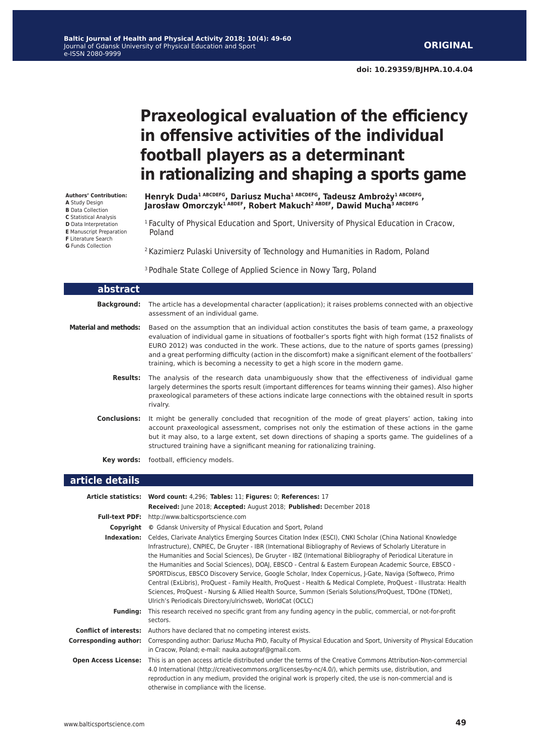**doi: 10.29359/BJHPA.10.4.04**

# **Praxeological evaluation of the efficiency in offensive activities of the individual football players as a determinant in rationalizing and shaping a sports game**

**Authors' Contribution: A** Study Design **B** Data Collection **C** Statistical Analysis **D** Data Interpretation **E** Manuscript Preparation **F** Literature Search **G** Funds Collection

**Henryk Duda1 ABCDEFG, Dariusz Mucha1 ABCDEFG, Tadeusz Ambroży1 ABCDEFG, Jarosław Omorczyk1 ABDEF, Robert Makuch2 ABDEF, Dawid Mucha3 ABCDEFG**

<sup>1</sup> Faculty of Physical Education and Sport, University of Physical Education in Cracow, Poland

2 Kazimierz Pulaski University of Technology and Humanities in Radom, Poland

<sup>3</sup> Podhale State College of Applied Science in Nowy Targ, Poland

| abstract                     |                                                                                                                                                                                                                                                                                                                                                                                                                                                                                                                          |
|------------------------------|--------------------------------------------------------------------------------------------------------------------------------------------------------------------------------------------------------------------------------------------------------------------------------------------------------------------------------------------------------------------------------------------------------------------------------------------------------------------------------------------------------------------------|
| Background:                  | The article has a developmental character (application); it raises problems connected with an objective<br>assessment of an individual game.                                                                                                                                                                                                                                                                                                                                                                             |
| <b>Material and methods:</b> | Based on the assumption that an individual action constitutes the basis of team game, a praxeology<br>evaluation of individual game in situations of footballer's sports fight with high format (152 finalists of<br>EURO 2012) was conducted in the work. These actions, due to the nature of sports games (pressing)<br>and a great performing difficulty (action in the discomfort) make a significant element of the footballers'<br>training, which is becoming a necessity to get a high score in the modern game. |
| <b>Results:</b>              | The analysis of the research data unambiguously show that the effectiveness of individual game<br>largely determines the sports result (important differences for teams winning their games). Also higher<br>praxeological parameters of these actions indicate large connections with the obtained result in sports<br>rivalry.                                                                                                                                                                                         |
| <b>Conclusions:</b>          | It might be generally concluded that recognition of the mode of great players' action, taking into<br>account praxeological assessment, comprises not only the estimation of these actions in the game<br>but it may also, to a large extent, set down directions of shaping a sports game. The quidelines of a<br>structured training have a significant meaning for rationalizing training.                                                                                                                            |
| Key words:                   | football, efficiency models.                                                                                                                                                                                                                                                                                                                                                                                                                                                                                             |

#### **article details**

| Article statistics: Word count: 4,296; Tables: 11; Figures: 0; References: 17                                                                                                                                                                                                                                                                                                                                                                                                                                                                                                                                                                                                                                                                                                                                                                                                |
|------------------------------------------------------------------------------------------------------------------------------------------------------------------------------------------------------------------------------------------------------------------------------------------------------------------------------------------------------------------------------------------------------------------------------------------------------------------------------------------------------------------------------------------------------------------------------------------------------------------------------------------------------------------------------------------------------------------------------------------------------------------------------------------------------------------------------------------------------------------------------|
| Received: June 2018; Accepted: August 2018; Published: December 2018                                                                                                                                                                                                                                                                                                                                                                                                                                                                                                                                                                                                                                                                                                                                                                                                         |
| <b>Full-text PDF:</b> http://www.balticsportscience.com                                                                                                                                                                                                                                                                                                                                                                                                                                                                                                                                                                                                                                                                                                                                                                                                                      |
| © Gdansk University of Physical Education and Sport, Poland<br>Copyright                                                                                                                                                                                                                                                                                                                                                                                                                                                                                                                                                                                                                                                                                                                                                                                                     |
| Celdes, Clarivate Analytics Emerging Sources Citation Index (ESCI), CNKI Scholar (China National Knowledge<br>Indexation:<br>Infrastructure), CNPIEC, De Gruyter - IBR (International Bibliography of Reviews of Scholarly Literature in<br>the Humanities and Social Sciences), De Gruyter - IBZ (International Bibliography of Periodical Literature in<br>the Humanities and Social Sciences), DOAJ, EBSCO - Central & Eastern European Academic Source, EBSCO -<br>SPORTDiscus, EBSCO Discovery Service, Google Scholar, Index Copernicus, J-Gate, Naviga (Softweco, Primo<br>Central (ExLibris), ProQuest - Family Health, ProQuest - Health & Medical Complete, ProQuest - Illustrata: Health<br>Sciences, ProQuest - Nursing & Allied Health Source, Summon (Serials Solutions/ProQuest, TDOne (TDNet),<br>Ulrich's Periodicals Directory/ulrichsweb, WorldCat (OCLC) |
| This research received no specific grant from any funding agency in the public, commercial, or not-for-profit<br>sectors.                                                                                                                                                                                                                                                                                                                                                                                                                                                                                                                                                                                                                                                                                                                                                    |
| <b>Conflict of interests:</b> Authors have declared that no competing interest exists.                                                                                                                                                                                                                                                                                                                                                                                                                                                                                                                                                                                                                                                                                                                                                                                       |
| Corresponding author: Dariusz Mucha PhD, Faculty of Physical Education and Sport, University of Physical Education<br>in Cracow, Poland; e-mail: nauka.autograf@gmail.com.                                                                                                                                                                                                                                                                                                                                                                                                                                                                                                                                                                                                                                                                                                   |
| This is an open access article distributed under the terms of the Creative Commons Attribution-Non-commercial<br>4.0 International (http://creativecommons.org/licenses/by-nc/4.0/), which permits use, distribution, and<br>reproduction in any medium, provided the original work is properly cited, the use is non-commercial and is<br>otherwise in compliance with the license.                                                                                                                                                                                                                                                                                                                                                                                                                                                                                         |
|                                                                                                                                                                                                                                                                                                                                                                                                                                                                                                                                                                                                                                                                                                                                                                                                                                                                              |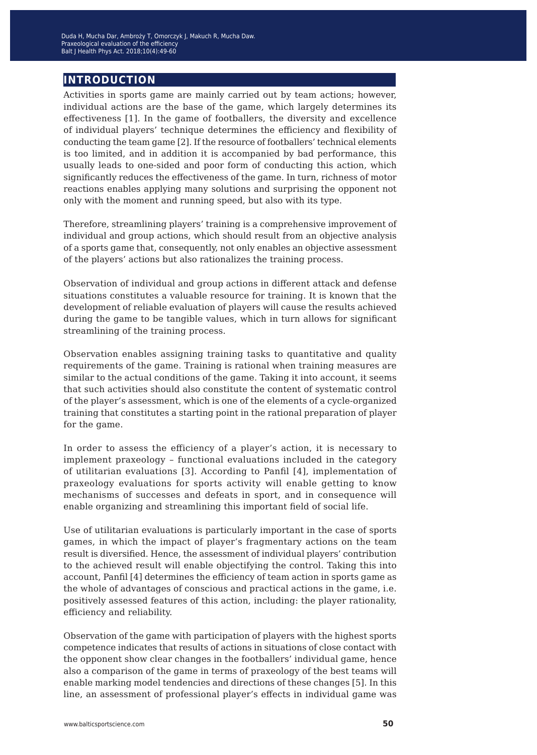# **introduction**

Activities in sports game are mainly carried out by team actions; however, individual actions are the base of the game, which largely determines its effectiveness [1]. In the game of footballers, the diversity and excellence of individual players' technique determines the efficiency and flexibility of conducting the team game [2]. If the resource of footballers' technical elements is too limited, and in addition it is accompanied by bad performance, this usually leads to one-sided and poor form of conducting this action, which significantly reduces the effectiveness of the game. In turn, richness of motor reactions enables applying many solutions and surprising the opponent not only with the moment and running speed, but also with its type.

Therefore, streamlining players' training is a comprehensive improvement of individual and group actions, which should result from an objective analysis of a sports game that, consequently, not only enables an objective assessment of the players' actions but also rationalizes the training process.

Observation of individual and group actions in different attack and defense situations constitutes a valuable resource for training. It is known that the development of reliable evaluation of players will cause the results achieved during the game to be tangible values, which in turn allows for significant streamlining of the training process.

Observation enables assigning training tasks to quantitative and quality requirements of the game. Training is rational when training measures are similar to the actual conditions of the game. Taking it into account, it seems that such activities should also constitute the content of systematic control of the player's assessment, which is one of the elements of a cycle-organized training that constitutes a starting point in the rational preparation of player for the game.

In order to assess the efficiency of a player's action, it is necessary to implement praxeology – functional evaluations included in the category of utilitarian evaluations [3]. According to Panfil [4], implementation of praxeology evaluations for sports activity will enable getting to know mechanisms of successes and defeats in sport, and in consequence will enable organizing and streamlining this important field of social life.

Use of utilitarian evaluations is particularly important in the case of sports games, in which the impact of player's fragmentary actions on the team result is diversified. Hence, the assessment of individual players' contribution to the achieved result will enable objectifying the control. Taking this into account, Panfil [4] determines the efficiency of team action in sports game as the whole of advantages of conscious and practical actions in the game, i.e. positively assessed features of this action, including: the player rationality, efficiency and reliability.

Observation of the game with participation of players with the highest sports competence indicates that results of actions in situations of close contact with the opponent show clear changes in the footballers' individual game, hence also a comparison of the game in terms of praxeology of the best teams will enable marking model tendencies and directions of these changes [5]. In this line, an assessment of professional player's effects in individual game was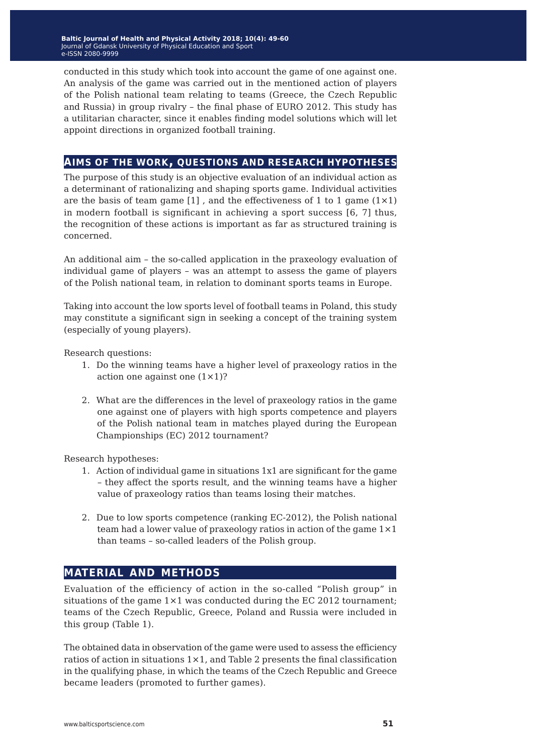conducted in this study which took into account the game of one against one. An analysis of the game was carried out in the mentioned action of players of the Polish national team relating to teams (Greece, the Czech Republic and Russia) in group rivalry – the final phase of EURO 2012. This study has a utilitarian character, since it enables finding model solutions which will let appoint directions in organized football training.

### **aims of the work, questions and research hypotheses**

The purpose of this study is an objective evaluation of an individual action as a determinant of rationalizing and shaping sports game. Individual activities are the basis of team game  $[1]$ , and the effectiveness of 1 to 1 game  $(1 \times 1)$ in modern football is significant in achieving a sport success [6, 7] thus, the recognition of these actions is important as far as structured training is concerned.

An additional aim – the so-called application in the praxeology evaluation of individual game of players – was an attempt to assess the game of players of the Polish national team, in relation to dominant sports teams in Europe.

Taking into account the low sports level of football teams in Poland, this study may constitute a significant sign in seeking a concept of the training system (especially of young players).

Research questions:

- 1. Do the winning teams have a higher level of praxeology ratios in the action one against one  $(1 \times 1)$ ?
- 2. What are the differences in the level of praxeology ratios in the game one against one of players with high sports competence and players of the Polish national team in matches played during the European Championships (EC) 2012 tournament?

Research hypotheses:

- 1. Action of individual game in situations 1x1 are significant for the game – they affect the sports result, and the winning teams have a higher value of praxeology ratios than teams losing their matches.
- 2. Due to low sports competence (ranking EC-2012), the Polish national team had a lower value of praxeology ratios in action of the game  $1 \times 1$ than teams – so-called leaders of the Polish group.

### **material and methods**

Evaluation of the efficiency of action in the so-called "Polish group" in situations of the game  $1\times1$  was conducted during the EC 2012 tournament; teams of the Czech Republic, Greece, Poland and Russia were included in this group (Table 1).

The obtained data in observation of the game were used to assess the efficiency ratios of action in situations  $1 \times 1$ , and Table 2 presents the final classification in the qualifying phase, in which the teams of the Czech Republic and Greece became leaders (promoted to further games).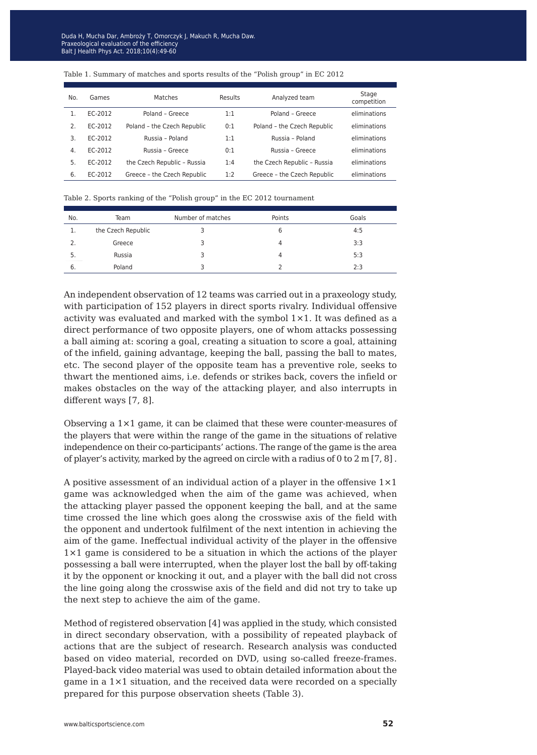| No. | Games   | Matches                     | Results | Analyzed team               | Stage<br>competition |
|-----|---------|-----------------------------|---------|-----------------------------|----------------------|
|     | EC-2012 | Poland - Greece             | 1:1     | Poland - Greece             | eliminations         |
| 2.  | EC-2012 | Poland - the Czech Republic | 0:1     | Poland - the Czech Republic | eliminations         |
| 3.  | EC-2012 | Russia - Poland             | 1:1     | Russia - Poland             | eliminations         |
| 4.  | FC-2012 | Russia - Greece             | 0:1     | Russia - Greece             | eliminations         |
| 5.  | EC-2012 | the Czech Republic - Russia | 1:4     | the Czech Republic - Russia | eliminations         |
| 6.  | EC-2012 | Greece - the Czech Republic | 1:2     | Greece - the Czech Republic | eliminations         |

#### Table 1. Summary of matches and sports results of the "Polish group" in EC 2012

|  |  |  |  | Table 2. Sports ranking of the "Polish group" in the EC 2012 tournament |
|--|--|--|--|-------------------------------------------------------------------------|
|  |  |  |  |                                                                         |

| No. | Team               | Number of matches | Points | Goals |
|-----|--------------------|-------------------|--------|-------|
| 1.  | the Czech Republic |                   |        | 4:5   |
| 2.  | Greece             |                   | Δ      | 3:3   |
| 5.  | Russia             |                   | Д      | 5:3   |
| -6. | Poland             |                   |        | 2:3   |

An independent observation of 12 teams was carried out in a praxeology study, with participation of 152 players in direct sports rivalry. Individual offensive activity was evaluated and marked with the symbol  $1\times1$ . It was defined as a direct performance of two opposite players, one of whom attacks possessing a ball aiming at: scoring a goal, creating a situation to score a goal, attaining of the infield, gaining advantage, keeping the ball, passing the ball to mates, etc. The second player of the opposite team has a preventive role, seeks to thwart the mentioned aims, i.e. defends or strikes back, covers the infield or makes obstacles on the way of the attacking player, and also interrupts in different ways [7, 8].

Observing a 1×1 game, it can be claimed that these were counter-measures of the players that were within the range of the game in the situations of relative independence on their co-participants' actions. The range of the game is the area of player's activity, marked by the agreed on circle with a radius of 0 to 2 m [7, 8] .

A positive assessment of an individual action of a player in the offensive  $1\times1$ game was acknowledged when the aim of the game was achieved, when the attacking player passed the opponent keeping the ball, and at the same time crossed the line which goes along the crosswise axis of the field with the opponent and undertook fulfilment of the next intention in achieving the aim of the game. Ineffectual individual activity of the player in the offensive 1×1 game is considered to be a situation in which the actions of the player possessing a ball were interrupted, when the player lost the ball by off-taking it by the opponent or knocking it out, and a player with the ball did not cross the line going along the crosswise axis of the field and did not try to take up the next step to achieve the aim of the game.

Method of registered observation [4] was applied in the study, which consisted in direct secondary observation, with a possibility of repeated playback of actions that are the subject of research. Research analysis was conducted based on video material, recorded on DVD, using so-called freeze-frames. Played-back video material was used to obtain detailed information about the game in a 1×1 situation, and the received data were recorded on a specially prepared for this purpose observation sheets (Table 3).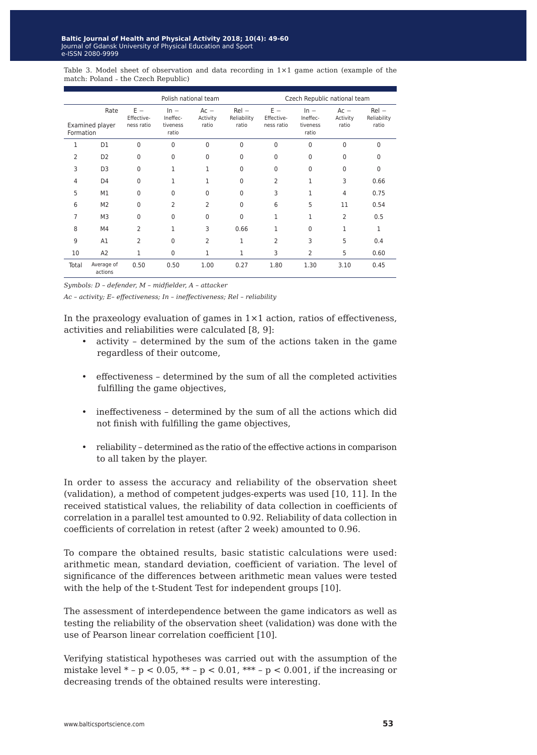Table 3. Model sheet of observation and data recording in 1×1 game action (example of the match: Poland - the Czech Republic)

|                |                         |                                   | Polish national team                    |                             |                                 |                                   | Czech Republic national team            |                             |                                 |  |  |  |
|----------------|-------------------------|-----------------------------------|-----------------------------------------|-----------------------------|---------------------------------|-----------------------------------|-----------------------------------------|-----------------------------|---------------------------------|--|--|--|
| Formation      | Rate<br>Examined player | $E -$<br>Effective-<br>ness ratio | $ln -$<br>Ineffec-<br>tiveness<br>ratio | $Ac -$<br>Activity<br>ratio | $Rel -$<br>Reliability<br>ratio | $E -$<br>Effective-<br>ness ratio | $ln -$<br>Ineffec-<br>tiveness<br>ratio | $Ac -$<br>Activity<br>ratio | $Rel -$<br>Reliability<br>ratio |  |  |  |
| 1              | D1                      | 0                                 | $\Omega$                                | $\Omega$                    | 0                               | $\Omega$                          | $\Omega$                                | 0                           | $\Omega$                        |  |  |  |
| $\overline{2}$ | D <sub>2</sub>          | 0                                 | $\Omega$                                | $\Omega$                    | 0                               | $\Omega$                          | $\Omega$                                | $\Omega$                    | O                               |  |  |  |
| 3              | D <sub>3</sub>          | 0                                 | 1                                       | 1                           | 0                               | $\Omega$                          | $\Omega$                                | 0                           | $\Omega$                        |  |  |  |
| 4              | D <sub>4</sub>          | 0                                 | 1                                       | 1                           | 0                               | 2                                 | $\mathbf{1}$                            | 3                           | 0.66                            |  |  |  |
| 5              | M1                      | 0                                 | 0                                       | $\Omega$                    | 0                               | 3                                 | 1                                       | 4                           | 0.75                            |  |  |  |
| 6              | M <sub>2</sub>          | 0                                 | $\overline{2}$                          | $\overline{2}$              | $\Omega$                        | 6                                 | 5                                       | 11                          | 0.54                            |  |  |  |
| 7              | M <sub>3</sub>          | 0                                 | $\Omega$                                | $\mathbf 0$                 | 0                               | 1                                 | 1                                       | $\overline{2}$              | 0.5                             |  |  |  |
| 8              | M4                      | 2                                 | 1                                       | 3                           | 0.66                            | 1                                 | $\Omega$                                | 1                           | 1                               |  |  |  |
| 9              | A1                      | 2                                 | $\Omega$                                | $\overline{2}$              | 1                               | 2                                 | 3                                       | 5                           | 0.4                             |  |  |  |
| 10             | A2                      | 1                                 | $\mathbf 0$                             | 1                           | 1                               | 3                                 | 2                                       | 5                           | 0.60                            |  |  |  |
| Total          | Average of<br>actions   | 0.50                              | 0.50                                    | 1.00                        | 0.27                            | 1.80                              | 1.30                                    | 3.10                        | 0.45                            |  |  |  |

*Symbols: D – defender, M – midfielder, A – attacker*

*Ac – activity; E– effectiveness; In – ineffectiveness; Rel – reliability*

In the praxeology evaluation of games in  $1\times1$  action, ratios of effectiveness, activities and reliabilities were calculated [8, 9]:

- activity determined by the sum of the actions taken in the game regardless of their outcome,
- effectiveness determined by the sum of all the completed activities fulfilling the game objectives,
- ineffectiveness determined by the sum of all the actions which did not finish with fulfilling the game objectives,
- reliability determined as the ratio of the effective actions in comparison to all taken by the player.

In order to assess the accuracy and reliability of the observation sheet (validation), a method of competent judges-experts was used [10, 11]. In the received statistical values, the reliability of data collection in coefficients of correlation in a parallel test amounted to 0.92. Reliability of data collection in coefficients of correlation in retest (after 2 week) amounted to 0.96.

To compare the obtained results, basic statistic calculations were used: arithmetic mean, standard deviation, coefficient of variation. The level of significance of the differences between arithmetic mean values were tested with the help of the t-Student Test for independent groups [10].

The assessment of interdependence between the game indicators as well as testing the reliability of the observation sheet (validation) was done with the use of Pearson linear correlation coefficient [10].

Verifying statistical hypotheses was carried out with the assumption of the mistake level  $* - p < 0.05$ ,  $** - p < 0.01$ ,  $** - p < 0.001$ , if the increasing or decreasing trends of the obtained results were interesting.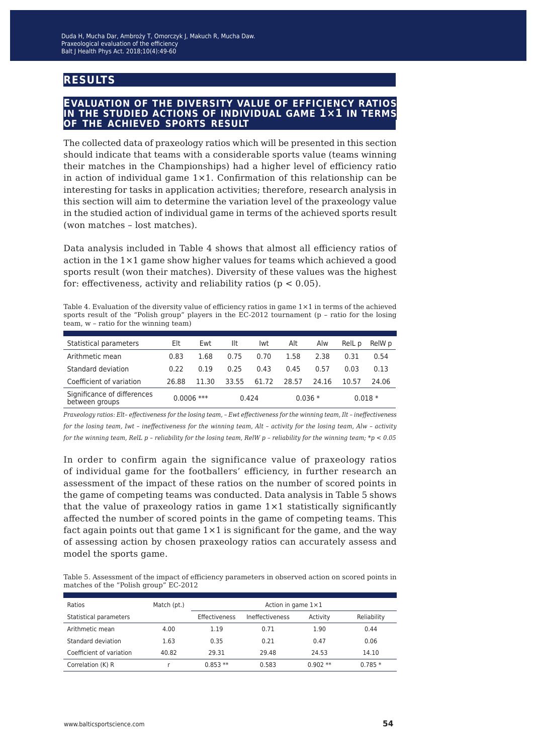# **results**

#### **evaluation of the diversity value of efficiency ratios in the studied actions of individual game 1×1 in terms of the achieved sports result**

The collected data of praxeology ratios which will be presented in this section should indicate that teams with a considerable sports value (teams winning their matches in the Championships) had a higher level of efficiency ratio in action of individual game  $1\times1$ . Confirmation of this relationship can be interesting for tasks in application activities; therefore, research analysis in this section will aim to determine the variation level of the praxeology value in the studied action of individual game in terms of the achieved sports result (won matches – lost matches).

Data analysis included in Table 4 shows that almost all efficiency ratios of action in the 1×1 game show higher values for teams which achieved a good sports result (won their matches). Diversity of these values was the highest for: effectiveness, activity and reliability ratios ( $p < 0.05$ ).

Table 4. Evaluation of the diversity value of efficiency ratios in game 1×1 in terms of the achieved sports result of the "Polish group" players in the EC-2012 tournament (p – ratio for the losing team, w – ratio for the winning team)

| Statistical parameters                        | Elt          | Ewt   | Ilt   | lwt   | Alt   | Alw      | RelL p | RelW p   |
|-----------------------------------------------|--------------|-------|-------|-------|-------|----------|--------|----------|
| Arithmetic mean                               | 0.83         | 1.68  | 0.75  | 0.70  | 1.58  | 2.38     | 0.31   | 0.54     |
| Standard deviation                            | 0.22         | 0.19  | 0.25  | 0.43  | 0.45  | 0.57     | 0.03   | 0.13     |
| Coefficient of variation                      | 26.88        | 11.30 | 33.55 | 61.72 | 28.57 | 24.16    | 10.57  | 24.06    |
| Significance of differences<br>between groups | $0.0006$ *** |       |       | 0.424 |       | $0.036*$ |        | $0.018*$ |

*Praxeology ratios: Elt– effectiveness for the losing team, – Ewt effectiveness for the winning team, Ilt – ineffectiveness for the losing team, Iwt – ineffectiveness for the winning team, Alt – activity for the losing team, Alw – activity for the winning team, RelL p – reliability for the losing team, RelW p – reliability for the winning team; \*p < 0.05*

In order to confirm again the significance value of praxeology ratios of individual game for the footballers' efficiency, in further research an assessment of the impact of these ratios on the number of scored points in the game of competing teams was conducted. Data analysis in Table 5 shows that the value of praxeology ratios in game  $1\times1$  statistically significantly affected the number of scored points in the game of competing teams. This fact again points out that game  $1 \times 1$  is significant for the game, and the way of assessing action by chosen praxeology ratios can accurately assess and model the sports game.

Table 5. Assessment of the impact of efficiency parameters in observed action on scored points in matches of the "Polish group" EC-2012

| Ratios                   | Match (pt.) | Action in game $1\times1$ |                 |           |             |  |  |  |  |  |  |
|--------------------------|-------------|---------------------------|-----------------|-----------|-------------|--|--|--|--|--|--|
| Statistical parameters   |             | Effectiveness             | Ineffectiveness | Activity  | Reliability |  |  |  |  |  |  |
| Arithmetic mean          | 4.00        | 1.19                      | 0.71            | 1.90      | 0.44        |  |  |  |  |  |  |
| Standard deviation       | 1.63        | 0.35                      | 0.21            | 0.47      | 0.06        |  |  |  |  |  |  |
| Coefficient of variation | 40.82       | 29.31                     | 29.48           | 24.53     | 14.10       |  |  |  |  |  |  |
| Correlation (K) R        |             | $0.853**$                 | 0.583           | $0.902**$ | $0.785*$    |  |  |  |  |  |  |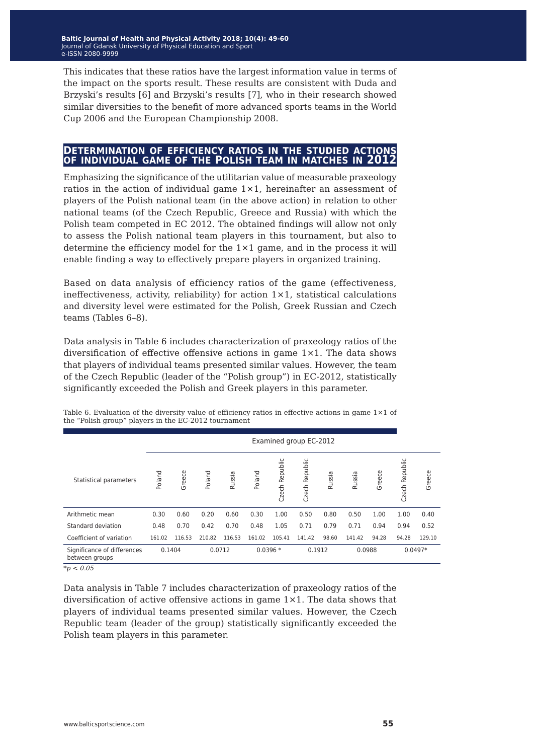This indicates that these ratios have the largest information value in terms of the impact on the sports result. These results are consistent with Duda and Brzyski's results [6] and Brzyski's results [7], who in their research showed similar diversities to the benefit of more advanced sports teams in the World Cup 2006 and the European Championship 2008.

#### **determination of efficiency ratios in the studied actions of individual game of the Polish team in matches in 2012**

Emphasizing the significance of the utilitarian value of measurable praxeology ratios in the action of individual game  $1\times1$ , hereinafter an assessment of players of the Polish national team (in the above action) in relation to other national teams (of the Czech Republic, Greece and Russia) with which the Polish team competed in EC 2012. The obtained findings will allow not only to assess the Polish national team players in this tournament, but also to determine the efficiency model for the 1×1 game, and in the process it will enable finding a way to effectively prepare players in organized training.

Based on data analysis of efficiency ratios of the game (effectiveness, ineffectiveness, activity, reliability) for action  $1\times1$ , statistical calculations and diversity level were estimated for the Polish, Greek Russian and Czech teams (Tables 6–8).

Data analysis in Table 6 includes characterization of praxeology ratios of the diversification of effective offensive actions in game 1×1. The data shows that players of individual teams presented similar values. However, the team of the Czech Republic (leader of the "Polish group") in EC-2012, statistically significantly exceeded the Polish and Greek players in this parameter.

|                                               |        | Examined group EC-2012 |        |        |        |                   |                   |        |        |        |                |           |  |
|-----------------------------------------------|--------|------------------------|--------|--------|--------|-------------------|-------------------|--------|--------|--------|----------------|-----------|--|
| Statistical parameters                        | Poland | Greece                 | Poland | Russia | Poland | Republic<br>Czech | Republic<br>Czech | Russia | Russia | Greece | Czech Republic | Greece    |  |
| Arithmetic mean                               | 0.30   | 0.60                   | 0.20   | 0.60   | 0.30   | 1.00              | 0.50              | 0.80   | 0.50   | 1.00   | 1.00           | 0.40      |  |
| Standard deviation                            | 0.48   | 0.70                   | 0.42   | 0.70   | 0.48   | 1.05              | 0.71              | 0.79   | 0.71   | 0.94   | 0.94           | 0.52      |  |
| Coefficient of variation                      | 161.02 | 116.53                 | 210.82 | 116.53 | 161.02 | 105.41            | 141.42            | 98.60  | 141.42 | 94.28  | 94.28          | 129.10    |  |
| Significance of differences<br>between groups |        | 0.1404                 |        | 0.0712 |        | $0.0396*$         | 0.1912            |        | 0.0988 |        |                | $0.0497*$ |  |

Table 6. Evaluation of the diversity value of efficiency ratios in effective actions in game  $1\times1$  of the "Polish group" players in the EC-2012 tournament

*\*p < 0.05*

Data analysis in Table 7 includes characterization of praxeology ratios of the diversification of active offensive actions in game 1×1. The data shows that players of individual teams presented similar values. However, the Czech Republic team (leader of the group) statistically significantly exceeded the Polish team players in this parameter.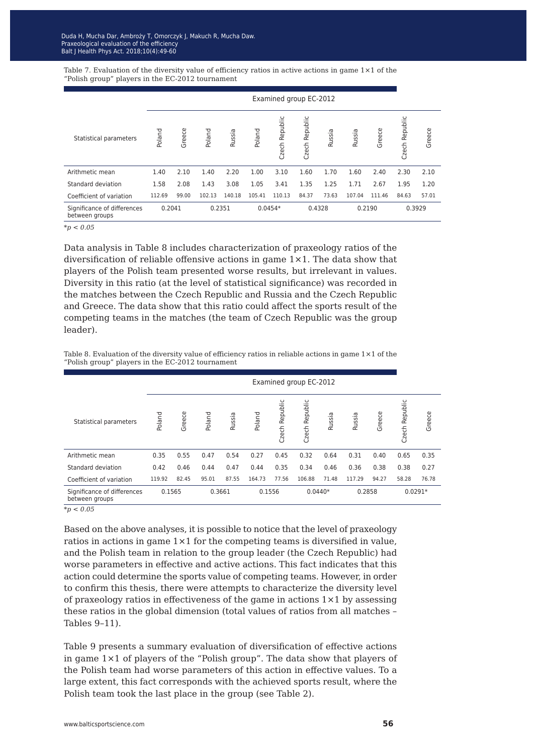Table 7. Evaluation of the diversity value of efficiency ratios in active actions in game  $1\times1$  of the "Polish group" players in the EC-2012 tournament

|                                               |        | Examined group EC-2012 |        |        |        |                     |                |        |        |        |                   |        |
|-----------------------------------------------|--------|------------------------|--------|--------|--------|---------------------|----------------|--------|--------|--------|-------------------|--------|
| Statistical parameters                        | Poland | Greece                 | Poland | Russia | Poland | Republic<br>Czech I | Czech Republic | Russia | Russia | Greece | Republic<br>Czech | Greece |
| Arithmetic mean                               | 1.40   | 2.10                   | 1.40   | 2.20   | 1.00   | 3.10                | 1.60           | 1.70   | 1.60   | 2.40   | 2.30              | 2.10   |
| Standard deviation                            | 1.58   | 2.08                   | 1.43   | 3.08   | 1.05   | 3.41                | 1.35           | 1.25   | 1.71   | 2.67   | 1.95              | 1.20   |
| Coefficient of variation                      | 112.69 | 99.00                  | 102.13 | 140.18 | 105.41 | 110.13              | 84.37          | 73.63  | 107.04 | 111.46 | 84.63             | 57.01  |
| Significance of differences<br>between groups | 0.2041 |                        | 0.2351 |        |        | $0.0454*$           | 0.4328         |        |        | 0.2190 | 0.3929            |        |

*\*p < 0.05*

Data analysis in Table 8 includes characterization of praxeology ratios of the diversification of reliable offensive actions in game 1×1. The data show that players of the Polish team presented worse results, but irrelevant in values. Diversity in this ratio (at the level of statistical significance) was recorded in the matches between the Czech Republic and Russia and the Czech Republic and Greece. The data show that this ratio could affect the sports result of the competing teams in the matches (the team of Czech Republic was the group leader).

Table 8. Evaluation of the diversity value of efficiency ratios in reliable actions in game 1×1 of the "Polish group" players in the EC-2012 tournament

|                                               |        | Examined group EC-2012 |        |        |        |                   |                |        |        |        |                   |           |
|-----------------------------------------------|--------|------------------------|--------|--------|--------|-------------------|----------------|--------|--------|--------|-------------------|-----------|
| Statistical parameters                        | Poland | Greece                 | Poland | Russia | Poland | Republic<br>Czech | Czech Republic | Russia | Russia | Greece | Republic<br>Czech | Greece    |
| Arithmetic mean                               | 0.35   | 0.55                   | 0.47   | 0.54   | 0.27   | 0.45              | 0.32           | 0.64   | 0.31   | 0.40   | 0.65              | 0.35      |
| Standard deviation                            | 0.42   | 0.46                   | 0.44   | 0.47   | 0.44   | 0.35              | 0.34           | 0.46   | 0.36   | 0.38   | 0.38              | 0.27      |
| Coefficient of variation                      | 119.92 | 82.45                  | 95.01  | 87.55  | 164.73 | 77.56             | 106.88         | 71.48  | 117.29 | 94.27  | 58.28             | 76.78     |
| Significance of differences<br>between groups | 0.1565 |                        | 0.3661 |        | 0.1556 |                   | $0.0440*$      |        | 0.2858 |        |                   | $0.0291*$ |

*\*p < 0.05*

Based on the above analyses, it is possible to notice that the level of praxeology ratios in actions in game 1×1 for the competing teams is diversified in value, and the Polish team in relation to the group leader (the Czech Republic) had worse parameters in effective and active actions. This fact indicates that this action could determine the sports value of competing teams. However, in order to confirm this thesis, there were attempts to characterize the diversity level of praxeology ratios in effectiveness of the game in actions  $1\times1$  by assessing these ratios in the global dimension (total values of ratios from all matches – Tables 9–11).

Table 9 presents a summary evaluation of diversification of effective actions in game 1×1 of players of the "Polish group". The data show that players of the Polish team had worse parameters of this action in effective values. To a large extent, this fact corresponds with the achieved sports result, where the Polish team took the last place in the group (see Table 2).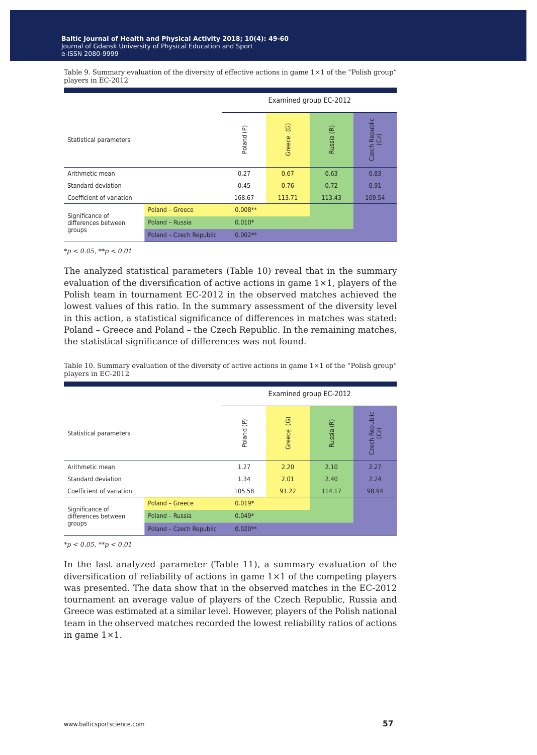|                          |                         | Examined group EC-2012  |                                  |                                    |                        |  |  |  |
|--------------------------|-------------------------|-------------------------|----------------------------------|------------------------------------|------------------------|--|--|--|
| Statistical parameters   |                         | $\widehat{E}$<br>Poland | $\widehat{\mathbb{G}}$<br>Greece | $\widetilde{\mathsf{E}}$<br>Russia | Czech Republic<br>(Cz) |  |  |  |
| Arithmetic mean          |                         | 0.27                    | 0.67                             | 0.63                               | 0.83                   |  |  |  |
| Standard deviation       |                         | 0.45                    | 0.76                             | 0.72                               | 0.91                   |  |  |  |
| Coefficient of variation |                         | 168.67                  | 113.71                           | 113.43                             | 109.54                 |  |  |  |
| Significance of          | Poland - Greece         | $0.008**$               |                                  |                                    |                        |  |  |  |
| differences between      | Poland - Russia         | $0.010*$                |                                  |                                    |                        |  |  |  |
| groups                   | Poland - Czech Republic | $0.002**$               |                                  |                                    |                        |  |  |  |

Table 9. Summary evaluation of the diversity of effective actions in game  $1 \times 1$  of the "Polish group" players in EC-2012

*\*p < 0.05, \*\*p < 0.01*

The analyzed statistical parameters (Table 10) reveal that in the summary evaluation of the diversification of active actions in game  $1 \times 1$ , players of the Polish team in tournament EC-2012 in the observed matches achieved the lowest values of this ratio. In the summary assessment of the diversity level in this action, a statistical significance of differences in matches was stated: Poland – Greece and Poland – the Czech Republic. In the remaining matches, the statistical significance of differences was not found.

|                                                  |                         | Examined group EC-2012  |                                  |                                  |                        |  |
|--------------------------------------------------|-------------------------|-------------------------|----------------------------------|----------------------------------|------------------------|--|
| Statistical parameters                           |                         | $\widehat{E}$<br>Poland | $\widehat{\mathbb{G}}$<br>Greece | $\widehat{\mathbb{E}}$<br>Russia | Czech Republic<br>(Cz) |  |
| Arithmetic mean                                  |                         | 1.27                    | 2.20                             | 2.10                             | 2.27                   |  |
| Standard deviation                               |                         | 1.34                    | 2.01                             | 2.40                             | 2.24                   |  |
| Coefficient of variation                         |                         | 105.58                  | 91.22                            | 114.17                           | 98.94                  |  |
| Significance of<br>differences between<br>groups | Poland - Greece         | $0.019*$                |                                  |                                  |                        |  |
|                                                  | Poland - Russia         | $0.049*$                |                                  |                                  |                        |  |
|                                                  | Poland - Czech Republic | $0.020**$               |                                  |                                  |                        |  |

Table 10. Summary evaluation of the diversity of active actions in game  $1\times1$  of the "Polish group" players in EC-2012

*\*p < 0.05, \*\*p < 0.01*

In the last analyzed parameter (Table 11), a summary evaluation of the diversification of reliability of actions in game  $1\times 1$  of the competing players was presented. The data show that in the observed matches in the EC-2012 tournament an average value of players of the Czech Republic, Russia and Greece was estimated at a similar level. However, players of the Polish national team in the observed matches recorded the lowest reliability ratios of actions in game 1×1.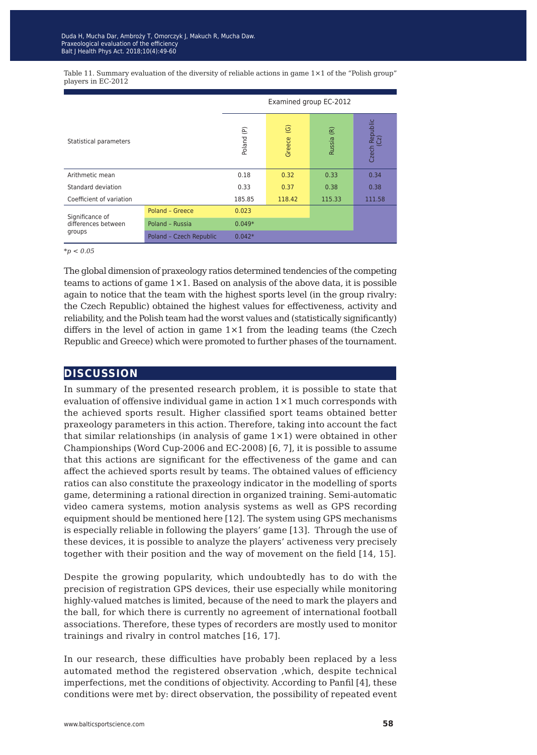|                                                  |                         | Examined group EC-2012 |                                  |                                  |                        |  |
|--------------------------------------------------|-------------------------|------------------------|----------------------------------|----------------------------------|------------------------|--|
| Statistical parameters                           |                         | e)<br>Poland           | $\widehat{\mathbb{G}}$<br>Greece | $\widehat{\mathsf{E}}$<br>Russia | Czech Republic<br>(Cz) |  |
| Arithmetic mean                                  |                         | 0.18                   | 0.32                             | 0.33                             | 0.34                   |  |
| Standard deviation                               |                         | 0.33                   | 0.37                             | 0.38                             | 0.38                   |  |
| Coefficient of variation                         |                         | 185.85                 | 118.42                           | 115.33                           | 111.58                 |  |
| Significance of<br>differences between<br>groups | Poland - Greece         | 0.023                  |                                  |                                  |                        |  |
|                                                  | Poland - Russia         | $0.049*$               |                                  |                                  |                        |  |
|                                                  | Poland - Czech Republic | $0.042*$               |                                  |                                  |                        |  |

Table 11. Summary evaluation of the diversity of reliable actions in game  $1 \times 1$  of the "Polish group" players in EC-2012

*\*p < 0.05*

The global dimension of praxeology ratios determined tendencies of the competing teams to actions of game  $1 \times 1$ . Based on analysis of the above data, it is possible again to notice that the team with the highest sports level (in the group rivalry: the Czech Republic) obtained the highest values for effectiveness, activity and reliability, and the Polish team had the worst values and (statistically significantly) differs in the level of action in game 1×1 from the leading teams (the Czech Republic and Greece) which were promoted to further phases of the tournament.

## **discussion**

In summary of the presented research problem, it is possible to state that evaluation of offensive individual game in action  $1\times1$  much corresponds with the achieved sports result. Higher classified sport teams obtained better praxeology parameters in this action. Therefore, taking into account the fact that similar relationships (in analysis of game  $1\times1$ ) were obtained in other Championships (Word Cup-2006 and EC-2008) [6, 7], it is possible to assume that this actions are significant for the effectiveness of the game and can affect the achieved sports result by teams. The obtained values of efficiency ratios can also constitute the praxeology indicator in the modelling of sports game, determining a rational direction in organized training. Semi-automatic video camera systems, motion analysis systems as well as GPS recording equipment should be mentioned here [12]. The system using GPS mechanisms is especially reliable in following the players' game [13]. Through the use of these devices, it is possible to analyze the players' activeness very precisely together with their position and the way of movement on the field [14, 15].

Despite the growing popularity, which undoubtedly has to do with the precision of registration GPS devices, their use especially while monitoring highly-valued matches is limited, because of the need to mark the players and the ball, for which there is currently no agreement of international football associations. Therefore, these types of recorders are mostly used to monitor trainings and rivalry in control matches [16, 17].

In our research, these difficulties have probably been replaced by a less automated method the registered observation ,which, despite technical imperfections, met the conditions of objectivity. According to Panfil [4], these conditions were met by: direct observation, the possibility of repeated event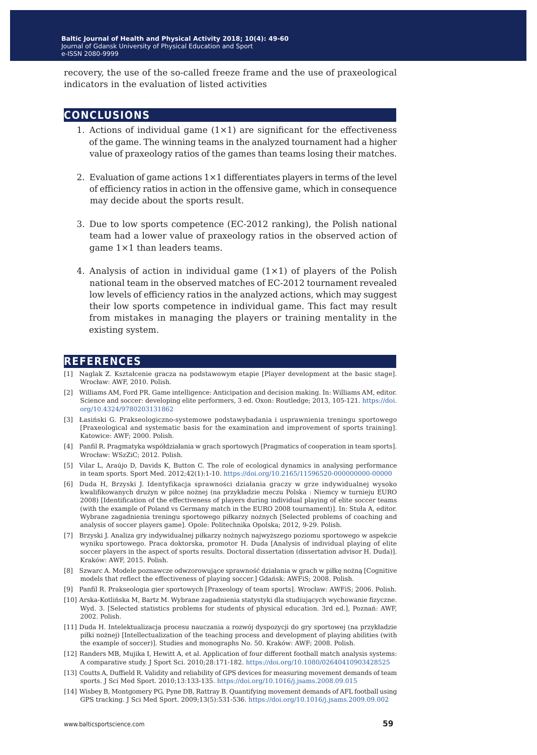recovery, the use of the so-called freeze frame and the use of praxeological indicators in the evaluation of listed activities

#### **conclusions**

- 1. Actions of individual game  $(1\times1)$  are significant for the effectiveness of the game. The winning teams in the analyzed tournament had a higher value of praxeology ratios of the games than teams losing their matches.
- 2. Evaluation of game actions  $1 \times 1$  differentiates players in terms of the level of efficiency ratios in action in the offensive game, which in consequence may decide about the sports result.
- 3. Due to low sports competence (EC-2012 ranking), the Polish national team had a lower value of praxeology ratios in the observed action of game 1×1 than leaders teams.
- 4. Analysis of action in individual game  $(1\times1)$  of players of the Polish national team in the observed matches of EC-2012 tournament revealed low levels of efficiency ratios in the analyzed actions, which may suggest their low sports competence in individual game. This fact may result from mistakes in managing the players or training mentality in the existing system.

#### **references**

- [1] Naglak Z. Kształcenie gracza na podstawowym etapie [Player development at the basic stage]. Wrocław: AWF, 2010. Polish.
- [2] Williams AM, Ford PR. Game intelligence: Anticipation and decision making. In: Williams AM, editor. Science and soccer: developing elite performers, 3 ed. Oxon: Routledge; 2013, 105-121. [https://doi.](https://doi.org/10.4324/9780203131862) [org/10.4324/9780203131862](https://doi.org/10.4324/9780203131862)
- [3] Łasiński G. Prakseologiczno-systemowe podstawybadania i usprawnienia treningu sportowego [Praxeological and systematic basis for the examination and improvement of sports training]. Katowice: AWF; 2000. Polish.
- [4] Panfil R. Pragmatyka współdziałania w grach sportowych [Pragmatics of cooperation in team sports]. Wrocław: WSzZiC; 2012. Polish.
- [5] Vilar L, Araújo D, Davids K, Button C. The role of ecological dynamics in analysing performance in team sports. Sport Med. 2012;42(1):1-10. <https://doi.org/10.2165/11596520-000000000-00000>
- [6] Duda H, Brzyski J. Identyfikacja sprawności działania graczy w grze indywidualnej wysoko kwalifikowanych drużyn w piłce nożnej (na przykładzie meczu Polska : Niemcy w turnieju EURO 2008) [Identification of the effectiveness of players during individual playing of elite soccer teams (with the example of Poland vs Germany match in the EURO 2008 tournament)]. In: Stuła A, editor. Wybrane zagadnienia treningu sportowego piłkarzy nożnych [Selected problems of coaching and analysis of soccer players game]. Opole: Politechnika Opolska; 2012, 9-29. Polish.
- [7] Brzyski J. Analiza gry indywidualnej piłkarzy nożnych najwyższego poziomu sportowego w aspekcie wyniku sportowego. Praca doktorska, promotor H. Duda [Analysis of individual playing of elite soccer players in the aspect of sports results. Doctoral dissertation (dissertation advisor H. Duda)]. Kraków: AWF, 2015. Polish.
- [8] Szwarc A. Modele poznawcze odwzorowujące sprawność działania w grach w piłkę nożną [Cognitive models that reflect the effectiveness of playing soccer.] Gdańsk: AWFiS; 2008. Polish.
- [9] Panfil R. Prakseologia gier sportowych [Praxeology of team sports]. Wrocław: AWFiS; 2006. Polish.
- [10] Arska-Kotlińska M, Bartz M. Wybrane zagadnienia statystyki dla studiujących wychowanie fizyczne. Wyd. 3. [Selected statistics problems for students of physical education. 3rd ed.], Poznań: AWF, 2002. Polish.
- [11] Duda H. Intelektualizacja procesu nauczania a rozwój dyspozycji do gry sportowej (na przykładzie piłki nożnej) [Intellectualization of the teaching process and development of playing abilities (with the example of soccer)]. Studies and monographs No. 50. Kraków: AWF; 2008. Polish.
- [12] Randers MB, Mujika I, Hewitt A, et al. Application of four different football match analysis systems: A comparative study. J Sport Sci. 2010;28:171-182. <https://doi.org/10.1080/02640410903428525>
- [13] Coutts A, Duffield R. Validity and reliability of GPS devices for measuring movement demands of team sports. J Sci Med Sport. 2010;13:133-135. <https://doi.org/10.1016/j.jsams.2008.09.015>
- [14] Wisbey B, Montgomery PG, Pyne DB, Rattray B. Quantifying movement demands of AFL football using GPS tracking. J Sci Med Sport. 2009;13(5):531-536. <https://doi.org/10.1016/j.jsams.2009.09.002>